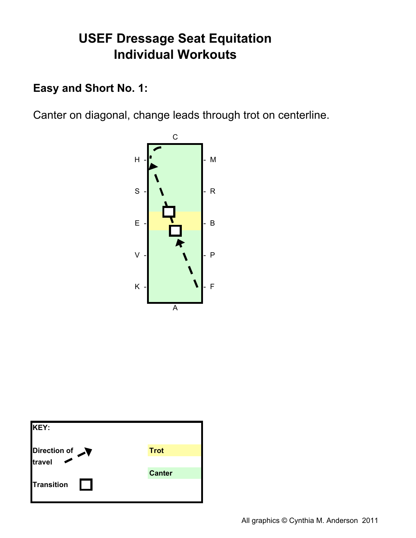### Easy and Short No. 1:

Canter on diagonal, change leads through trot on centerline.



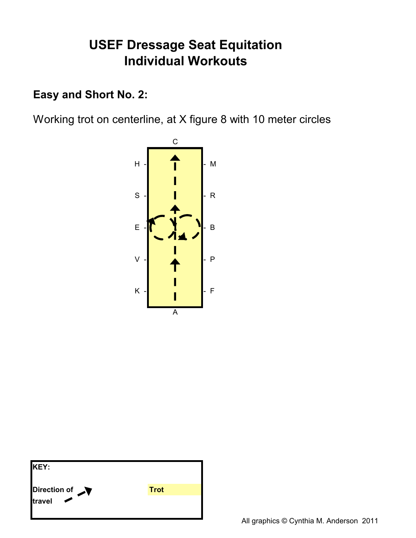### Easy and Short No. 2:

Working trot on centerline, at X figure 8 with 10 meter circles



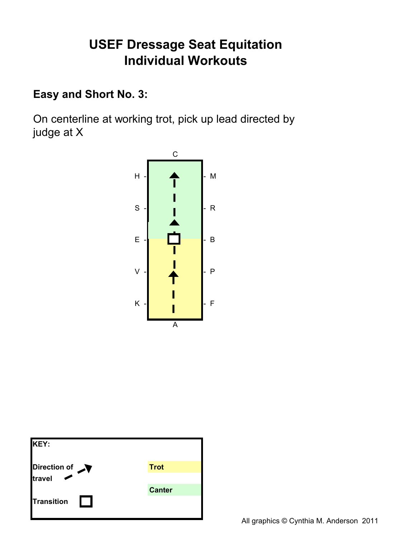### Easy and Short No. 3:

On centerline at working trot, pick up lead directed by judge at X



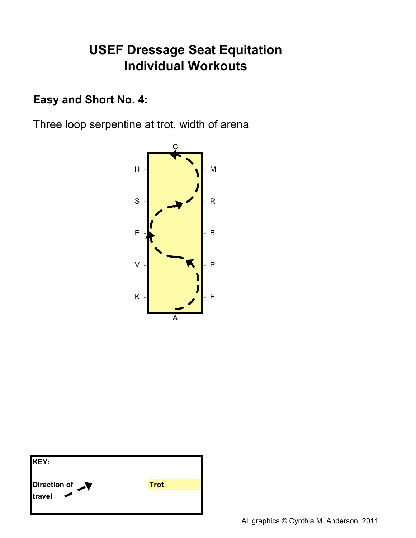### Easy and Short No. 4:

Three loop serpentine at trot, width of arena



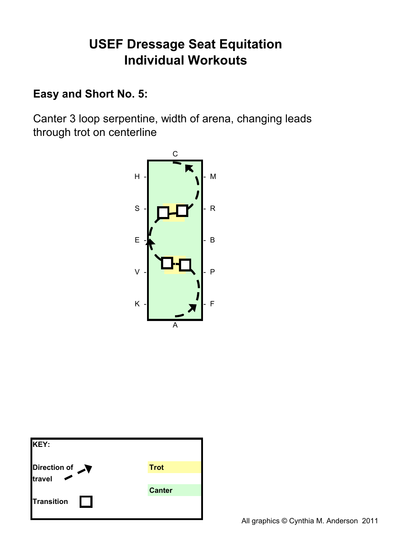#### **Easy and Short No. 5:**

Canter 3 loop serpentine, width of arena, changing leads through trot on centerline



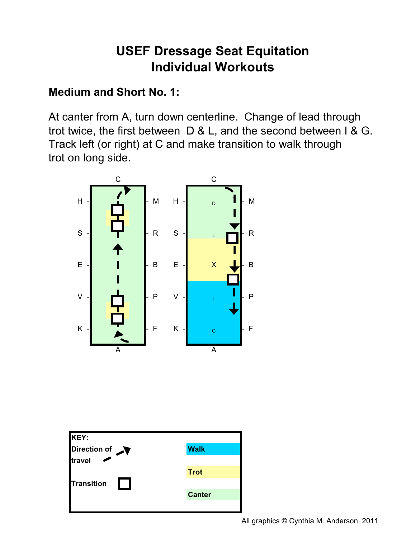#### **Medium and Short No. 1:**

At canter from A, turn down centerline. Change of lead through trot twice, the first between  $D & L$ , and the second between  $I & G$ . Track left (or right) at C and make transition to walk through trot on long side.



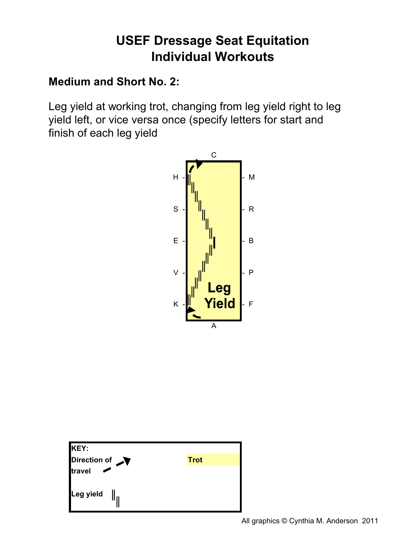### **Medium and Short No. 2:**

Leg yield at working trot, changing from leg yield right to leg yield left, or vice versa once (specify letters for start and finish of each leg yield



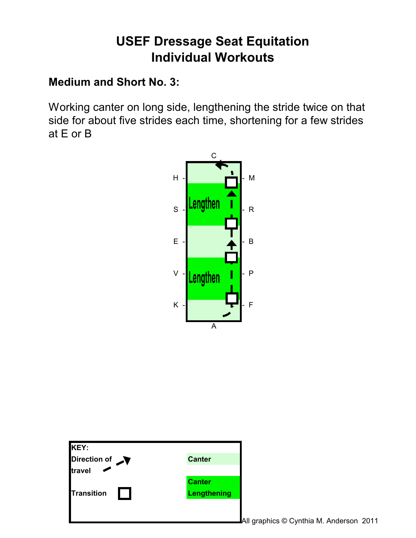### **Medium and Short No. 3:**

Working canter on long side, lengthening the stride twice on that side for about five strides each time, shortening for a few strides at  $E$  or  $B$ 



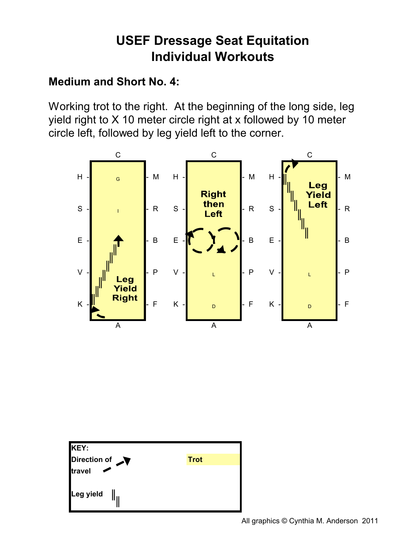### **Medium and Short No. 4:**

Working trot to the right. At the beginning of the long side, leg yield right to X 10 meter circle right at x followed by 10 meter circle left, followed by leg yield left to the corner.



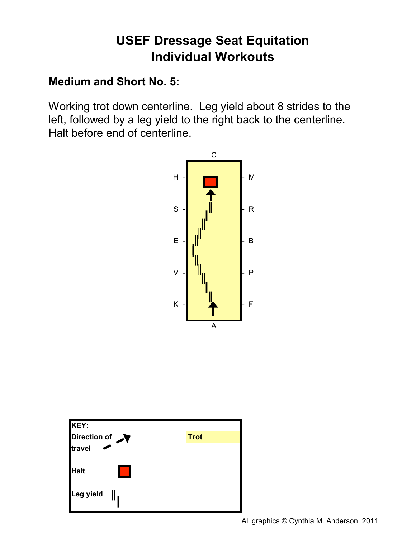### **Medium and Short No. 5:**

Working trot down centerline. Leg yield about 8 strides to the left, followed by a leg yield to the right back to the centerline. Halt before end of centerline.



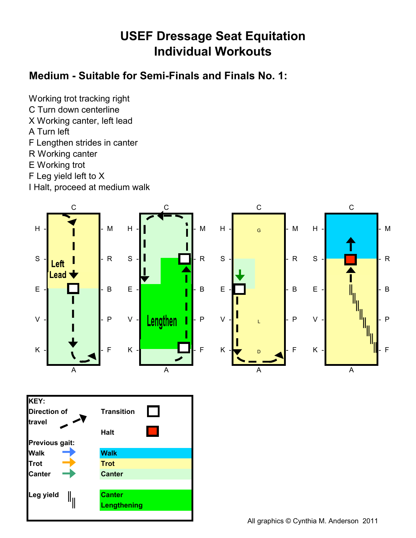#### Medium - Suitable for Semi-Finals and Finals No. 1:

Working trot tracking right C Turn down centerline

- X Working canter, left lead
- A Turn left
- F Lengthen strides in canter
- R Working canter
- E Working trot
- F Leg yield left to X

I Halt, proceed at medium walk

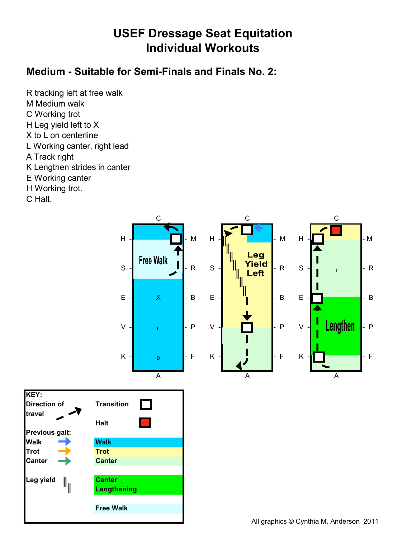#### Medium - Suitable for Semi-Finals and Finals No. 2:

R tracking left at free walk M Medium walk C Working trot H Leg yield left to X X to L on centerline L Working canter, right lead A Track right K Lengthen strides in canter E Working canter H Working trot.

C Halt.

KEY:

travel

**Walk** 

Trot

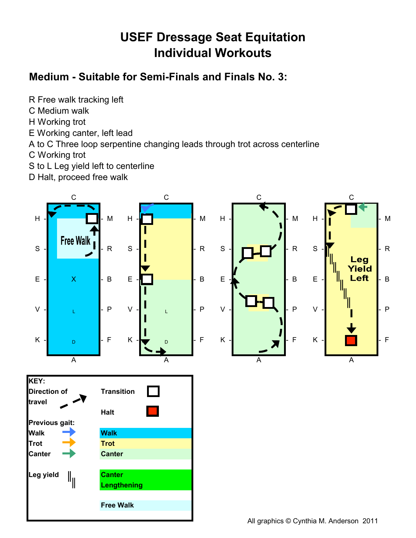### Medium - Suitable for Semi-Finals and Finals No. 3:

- R Free walk tracking left
- C Medium walk
- H Working trot
- E Working canter, left lead
- A to C Three loop serpentine changing leads through trot across centerline
- C Working trot
- S to L Leg yield left to centerline
- D Halt, proceed free walk

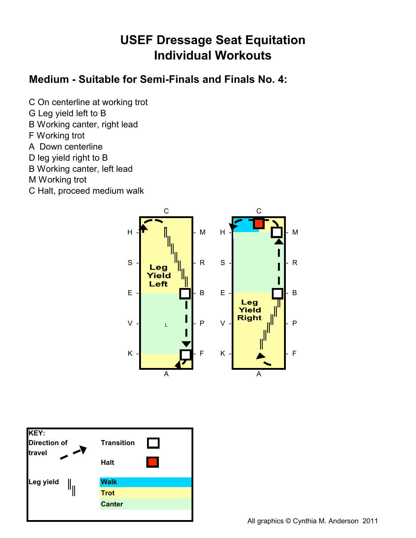#### Medium - Suitable for Semi-Finals and Finals No. 4:

- C On centerline at working trot
- G Leg yield left to B
- B Working canter, right lead
- F Working trot
- A Down centerline
- D leg yield right to B
- B Working canter, left lead
- M Working trot
- C Halt, proceed medium walk



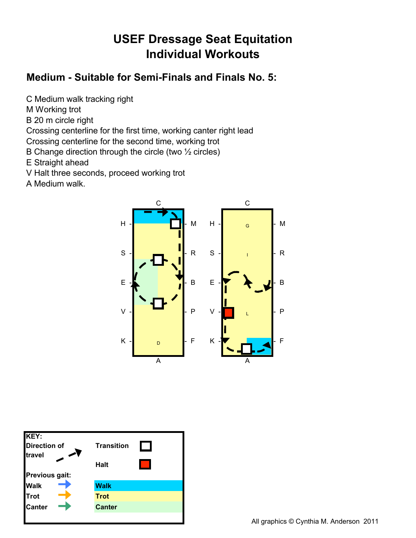#### Medium - Suitable for Semi-Finals and Finals No. 5:

C Medium walk tracking right

- M Working trot
- B 20 m circle right

Crossing centerline for the first time, working canter right lead

- Crossing centerline for the second time, working trot
- B Change direction through the circle (two 1/2 circles)
- E Straight ahead
- V Halt three seconds, proceed working trot
- A Medium walk.



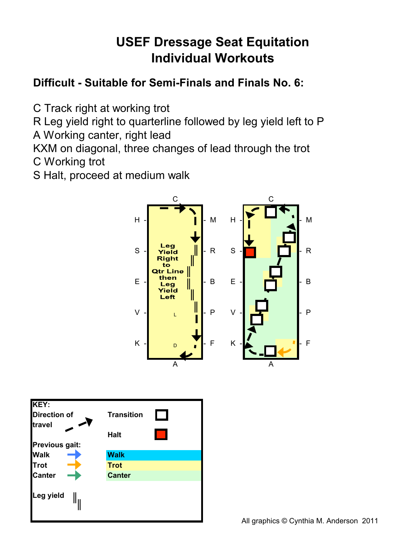### Difficult - Suitable for Semi-Finals and Finals No. 6:

C Track right at working trot

R Leg yield right to quarterline followed by leg yield left to P A Working canter, right lead

KXM on diagonal, three changes of lead through the trot C Working trot

S Halt, proceed at medium walk



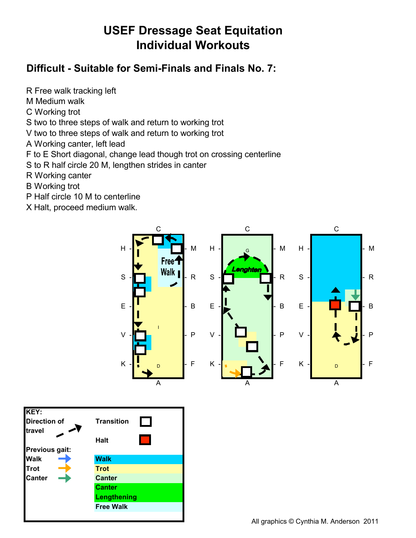#### Difficult - Suitable for Semi-Finals and Finals No. 7:

R Free walk tracking left

- M Medium walk
- C Working trot

S two to three steps of walk and return to working trot

V two to three steps of walk and return to working trot

A Working canter, left lead

F to E Short diagonal, change lead though trot on crossing centerline

S to R half circle 20 M, lengthen strides in canter

Lengthening **Free Walk** 

R Working canter

**B** Working trot

KEY:

travel

**Walk** 

Trot

Canter

**Direction of** 

Previous gait:

- P Half circle 10 M to centerline
- X Halt, proceed medium walk.